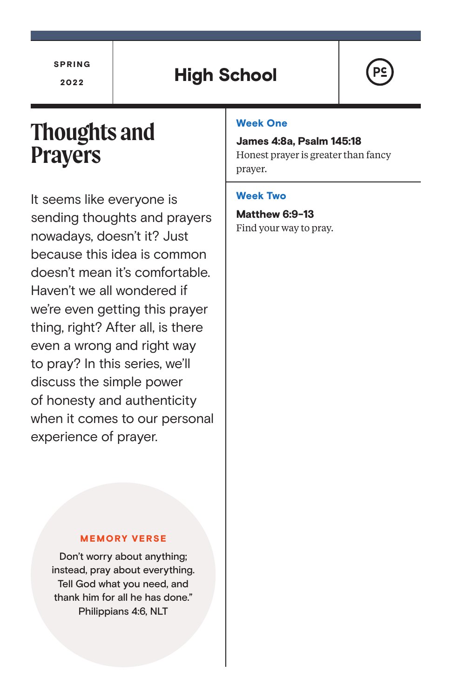High School

# **Thoughts and Prayers**

It seems like everyone is sending thoughts and prayers nowadays, doesn't it? Just because this idea is common doesn't mean it's comfortable. Haven't we all wondered if we're even getting this prayer thing, right? After all, is there even a wrong and right way to pray? In this series, we'll discuss the simple power of honesty and authenticity when it comes to our personal experience of prayer.

# Week One

James 4:8a, Psalm 145:18 Honest prayer is greater than fancy prayer.

# Week Two

Matthew 6:9-13 Find your way to pray.

#### MEMORY VERSE

Don't worry about anything; instead, pray about everything. Tell God what you need, and thank him for all he has done." Philippians 4:6, NLT